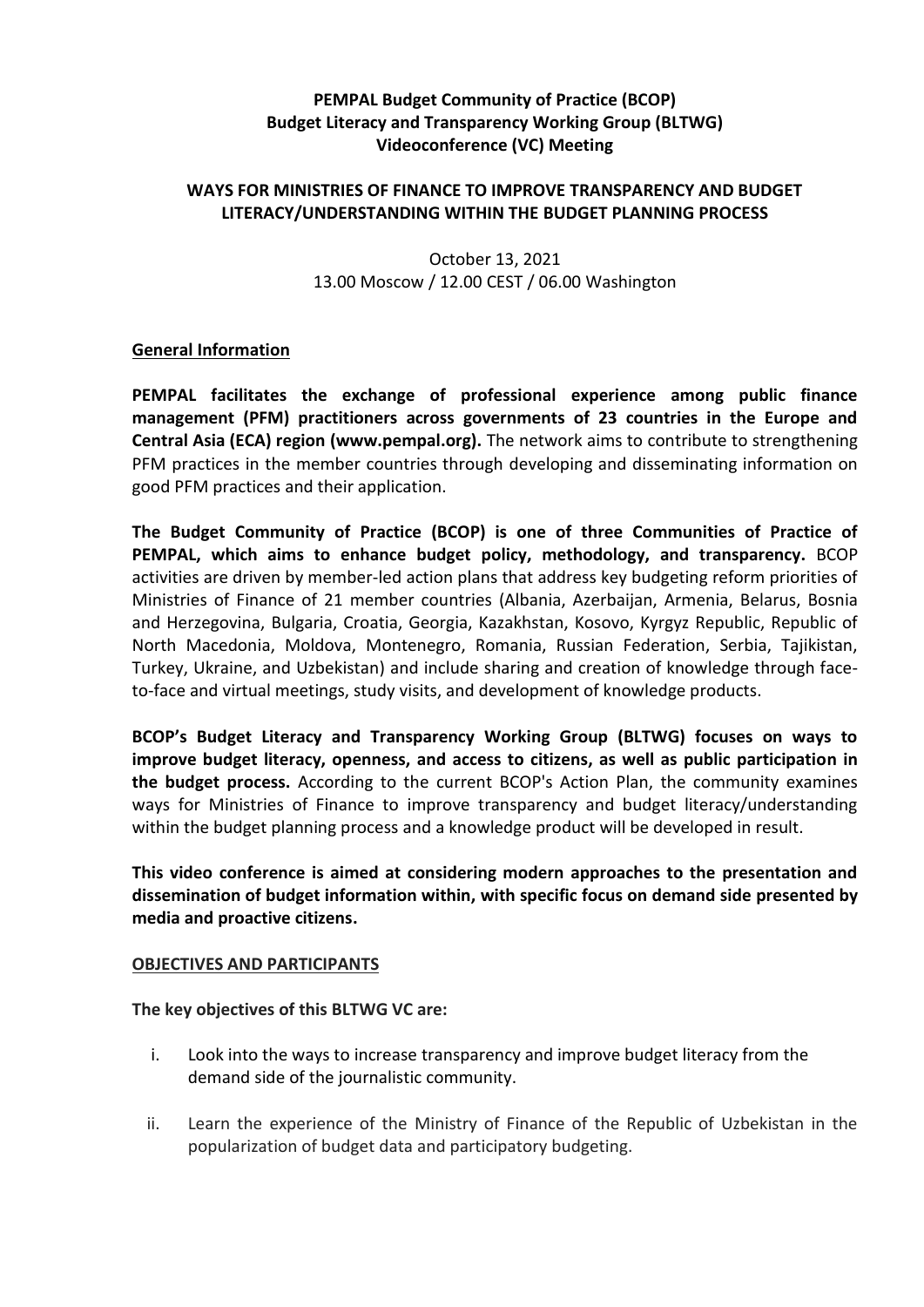# **PEMPAL Budget Community of Practice (BCOP) Budget Literacy and Transparency Working Group (BLTWG) Videoconference (VC) Meeting**

# **WAYS FOR MINISTRIES OF FINANCE TO IMPROVE TRANSPARENCY AND BUDGET LITERACY/UNDERSTANDING WITHIN THE BUDGET PLANNING PROCESS**

October 13, 2021 13.00 Moscow / 12.00 CEST / 06.00 Washington

### **General Information**

**PEMPAL facilitates the exchange of professional experience among public finance management (PFM) practitioners across governments of 23 countries in the Europe and Central Asia (ECA) region (www.pempal.org).** The network aims to contribute to strengthening PFM practices in the member countries through developing and disseminating information on good PFM practices and their application.

**The Budget Community of Practice (BCOP) is one of three Communities of Practice of PEMPAL, which aims to enhance budget policy, methodology, and transparency.** BCOP activities are driven by member-led action plans that address key budgeting reform priorities of Ministries of Finance of 21 member countries (Albania, Azerbaijan, Armenia, Belarus, Bosnia and Herzegovina, Bulgaria, Croatia, Georgia, Kazakhstan, Kosovo, Kyrgyz Republic, Republic of North Macedonia, Moldova, Montenegro, Romania, Russian Federation, Serbia, Tajikistan, Turkey, Ukraine, and Uzbekistan) and include sharing and creation of knowledge through faceto-face and virtual meetings, study visits, and development of knowledge products.

**BCOP's Budget Literacy and Transparency Working Group (BLTWG) focuses on ways to improve budget literacy, openness, and access to citizens, as well as public participation in the budget process.** According to the current BCOP's Action Plan, the community examines ways for Ministries of Finance to improve transparency and budget literacy/understanding within the budget planning process and a knowledge product will be developed in result.

**This video conference is aimed at considering modern approaches to the presentation and dissemination of budget information within, with specific focus on demand side presented by media and proactive citizens.** 

#### **OBJECTIVES AND PARTICIPANTS**

**The key objectives of this BLTWG VC are:**

- i. Look into the ways to increase transparency and improve budget literacy from the demand side of the journalistic community.
- ii. Learn the experience of the Ministry of Finance of the Republic of Uzbekistan in the popularization of budget data and participatory budgeting.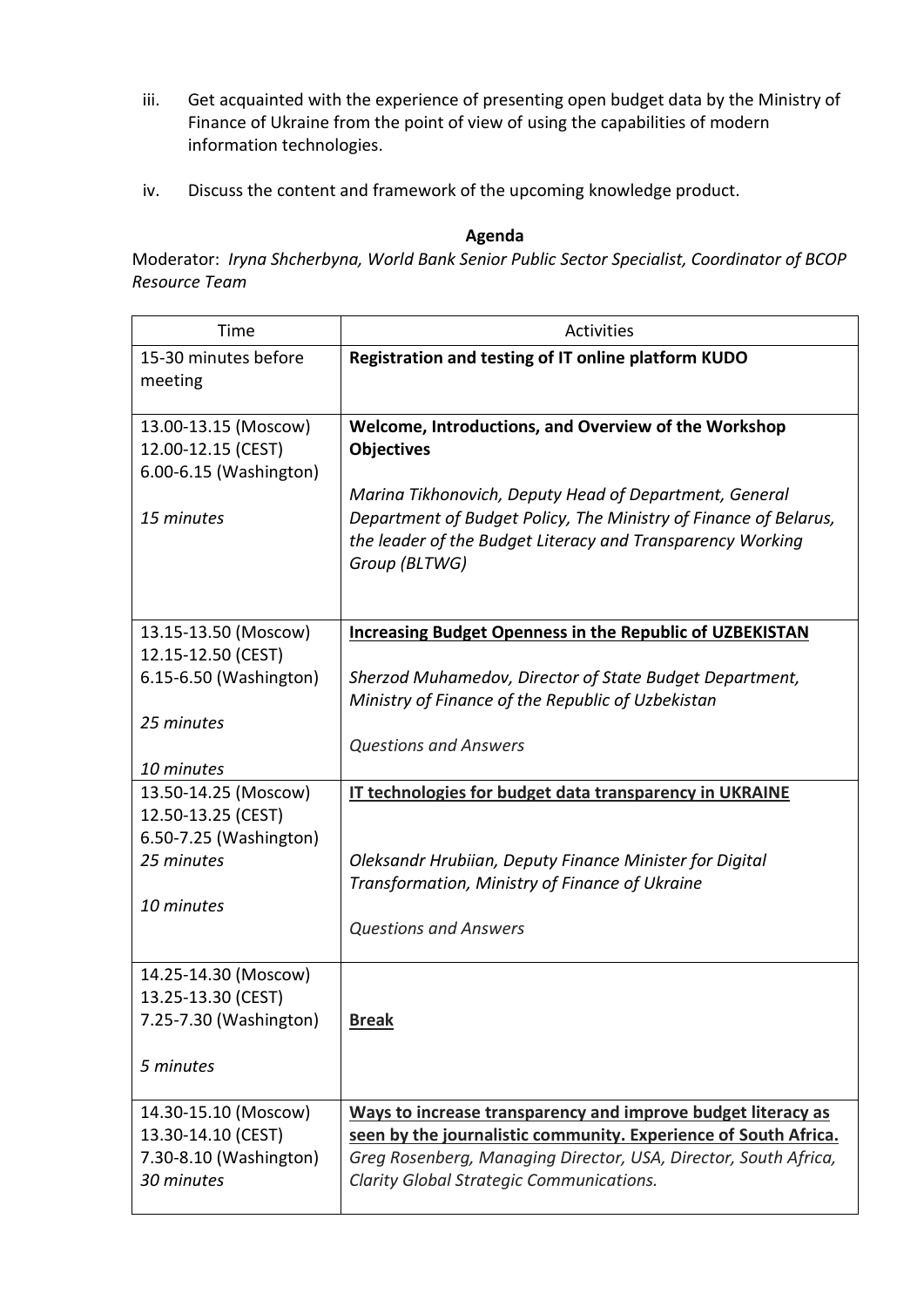- iii. Get acquainted with the experience of presenting open budget data by the Ministry of Finance of Ukraine from the point of view of using the capabilities of modern information technologies.
- iv. Discuss the content and framework of the upcoming knowledge product.

### **Agenda**

Moderator: *Iryna Shcherbyna, World Bank Senior Public Sector Specialist, Coordinator of BCOP Resource Team*

| Time                                                                               | Activities                                                                                                                                                                                                                                     |
|------------------------------------------------------------------------------------|------------------------------------------------------------------------------------------------------------------------------------------------------------------------------------------------------------------------------------------------|
| 15-30 minutes before<br>meeting                                                    | Registration and testing of IT online platform KUDO                                                                                                                                                                                            |
| 13.00-13.15 (Moscow)<br>12.00-12.15 (CEST)<br>6.00-6.15 (Washington)<br>15 minutes | Welcome, Introductions, and Overview of the Workshop<br><b>Objectives</b><br>Marina Tikhonovich, Deputy Head of Department, General<br>Department of Budget Policy, The Ministry of Finance of Belarus,                                        |
|                                                                                    | the leader of the Budget Literacy and Transparency Working<br>Group (BLTWG)                                                                                                                                                                    |
| 13.15-13.50 (Moscow)<br>12.15-12.50 (CEST)                                         | <b>Increasing Budget Openness in the Republic of UZBEKISTAN</b>                                                                                                                                                                                |
| 6.15-6.50 (Washington)                                                             | Sherzod Muhamedov, Director of State Budget Department,<br>Ministry of Finance of the Republic of Uzbekistan                                                                                                                                   |
| 25 minutes<br>10 minutes                                                           | <b>Questions and Answers</b>                                                                                                                                                                                                                   |
| 13.50-14.25 (Moscow)<br>12.50-13.25 (CEST)<br>6.50-7.25 (Washington)               | IT technologies for budget data transparency in UKRAINE                                                                                                                                                                                        |
| 25 minutes                                                                         | Oleksandr Hrubiian, Deputy Finance Minister for Digital<br>Transformation, Ministry of Finance of Ukraine                                                                                                                                      |
| 10 minutes                                                                         | <b>Questions and Answers</b>                                                                                                                                                                                                                   |
| 14.25-14.30 (Moscow)<br>13.25-13.30 (CEST)<br>7.25-7.30 (Washington)               | <b>Break</b>                                                                                                                                                                                                                                   |
| 5 minutes                                                                          |                                                                                                                                                                                                                                                |
| 14.30-15.10 (Moscow)<br>13.30-14.10 (CEST)<br>7.30-8.10 (Washington)<br>30 minutes | Ways to increase transparency and improve budget literacy as<br>seen by the journalistic community. Experience of South Africa.<br>Greg Rosenberg, Managing Director, USA, Director, South Africa,<br>Clarity Global Strategic Communications. |